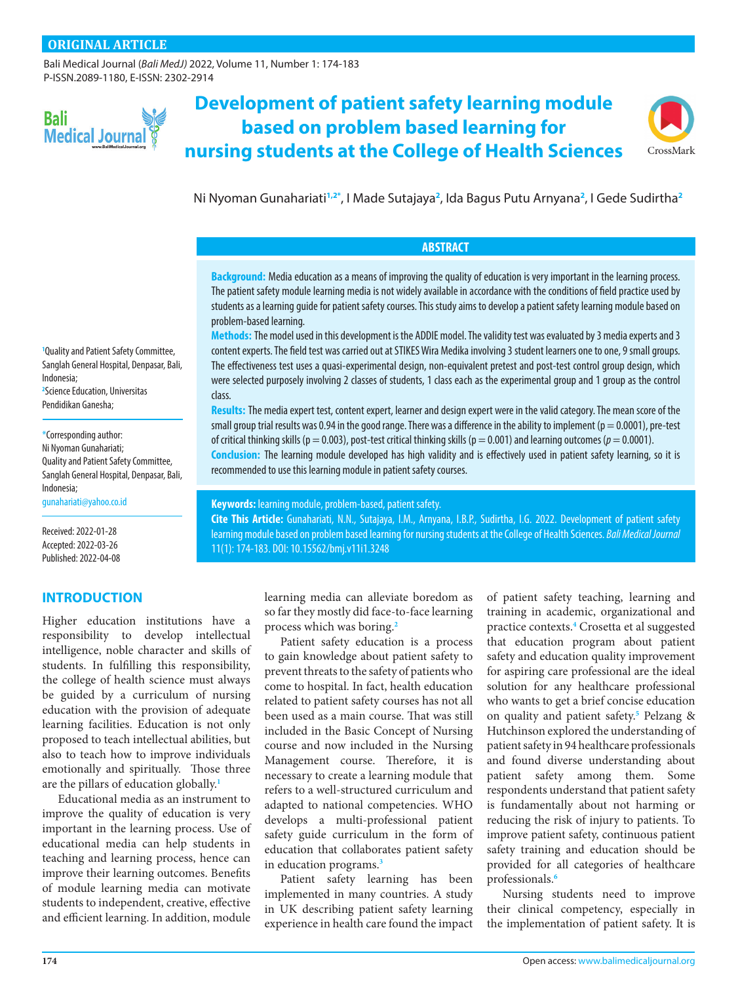[Bali Medical Journal](http://www.balimedicaljournal.org/) (*Bali MedJ)* 2022, Volume 11, Number 1: 174-183 P-ISSN.2089-1180, E-ISSN: 2302-2914



**Development of patient safety learning module based on problem based learning for nursing students at the College of Health Sciences**



Ni Nyoman Gunahariati**[1](#page-0-0),[2](#page-0-1)[\\*](#page-0-2)** , I Made Sutajaya**[2](#page-0-1)** , Ida Bagus Putu Arnyana**[2](#page-0-1)** , I Gede Sudirtha**[2](#page-0-1)**

# **ABSTRACT**

**Background:** Media education as a means of improving the quality of education is very important in the learning process. The patient safety module learning media is not widely available in accordance with the conditions of field practice used by students as a learning guide for patient safety courses. This study aims to develop a patient safety learning module based on problem-based learning.

**Methods:** The model used in this development is the ADDIE model. The validity test was evaluated by 3 media experts and 3 content experts. The field test was carried out at STIKES Wira Medika involving 3 student learners one to one, 9 small groups. The effectiveness test uses a quasi-experimental design, non-equivalent pretest and post-test control group design, which were selected purposely involving 2 classes of students, 1 class each as the experimental group and 1 group as the control class.

**Results:** The media expert test, content expert, learner and design expert were in the valid category. The mean score of the small group trial results was 0.94 in the good range. There was a difference in the ability to implement ( $p = 0.0001$ ), pre-test of critical thinking skills ( $p = 0.003$ ), post-test critical thinking skills ( $p = 0.001$ ) and learning outcomes ( $p = 0.0001$ ).

**Conclusion:** The learning module developed has high validity and is effectively used in patient safety learning, so it is recommended to use this learning module in patient safety courses.

**Cite This Article:** Gunahariati, N.N., Sutajaya, I.M., Arnyana, I.B.P., Sudirtha, I.G. 2022. Development of patient safety learning module based on problem based learning for nursing students at the College of Health Sciences. *Bali Medical Journal*

[gunahariati@yahoo.co.id](mailto:gunahariati%40yahoo.co.id?subject=)

Quality and Patient Safety Committee, Sanglah General Hospital, Denpasar, Bali,

<span id="page-0-0"></span>**1** Quality and Patient Safety Committee, Sanglah General Hospital, Denpasar, Bali,

<span id="page-0-1"></span>**2** Science Education, Universitas Pendidikan Ganesha;

<span id="page-0-2"></span>\*Corresponding author: Ni Nyoman Gunahariati;

Indonesia;

Indonesia;

Received: 2022-01-28 Accepted: 2022-03-26 Published: 2022-04-08

# **INTRODUCTION**

Higher education institutions have a responsibility to develop intellectual intelligence, noble character and skills of students. In fulfilling this responsibility, the college of health science must always be guided by a curriculum of nursing education with the provision of adequate learning facilities. Education is not only proposed to teach intellectual abilities, but also to teach how to improve individuals emotionally and spiritually. Those three are the pillars of education globally.**[1](#page-9-0)**

Educational media as an instrument to improve the quality of education is very important in the learning process. Use of educational media can help students in teaching and learning process, hence can improve their learning outcomes. Benefits of module learning media can motivate students to independent, creative, effective and efficient learning. In addition, module

learning media can alleviate boredom as so far they mostly did face-to-face learning

**Keywords:** learning module, problem-based, patient safety.

11(1): 174-183. DOI: [10.15562/bmj.v11i1.3248](http://dx.doi.org/10.15562/bmj.v11i1.3248)

process which was boring.**[2](#page-9-1)** Patient safety education is a process to gain knowledge about patient safety to prevent threats to the safety of patients who come to hospital. In fact, health education related to patient safety courses has not all been used as a main course. That was still included in the Basic Concept of Nursing course and now included in the Nursing Management course. Therefore, it is necessary to create a learning module that refers to a well-structured curriculum and adapted to national competencies. WHO develops a multi-professional patient safety guide curriculum in the form of education that collaborates patient safety in education programs.**[3](#page-9-2)**

Patient safety learning has been implemented in many countries. A study in UK describing patient safety learning experience in health care found the impact

of patient safety teaching, learning and training in academic, organizational and practice contexts.**[4](#page-9-3)** Crosetta et al suggested that education program about patient safety and education quality improvement for aspiring care professional are the ideal solution for any healthcare professional who wants to get a brief concise education on quality and patient safety.**[5](#page-9-4)** Pelzang & Hutchinson explored the understanding of patient safety in 94 healthcare professionals and found diverse understanding about patient safety among them. Some respondents understand that patient safety is fundamentally about not harming or reducing the risk of injury to patients. To improve patient safety, continuous patient safety training and education should be provided for all categories of healthcare professionals.**[6](#page-9-5)**

Nursing students need to improve their clinical competency, especially in the implementation of patient safety. It is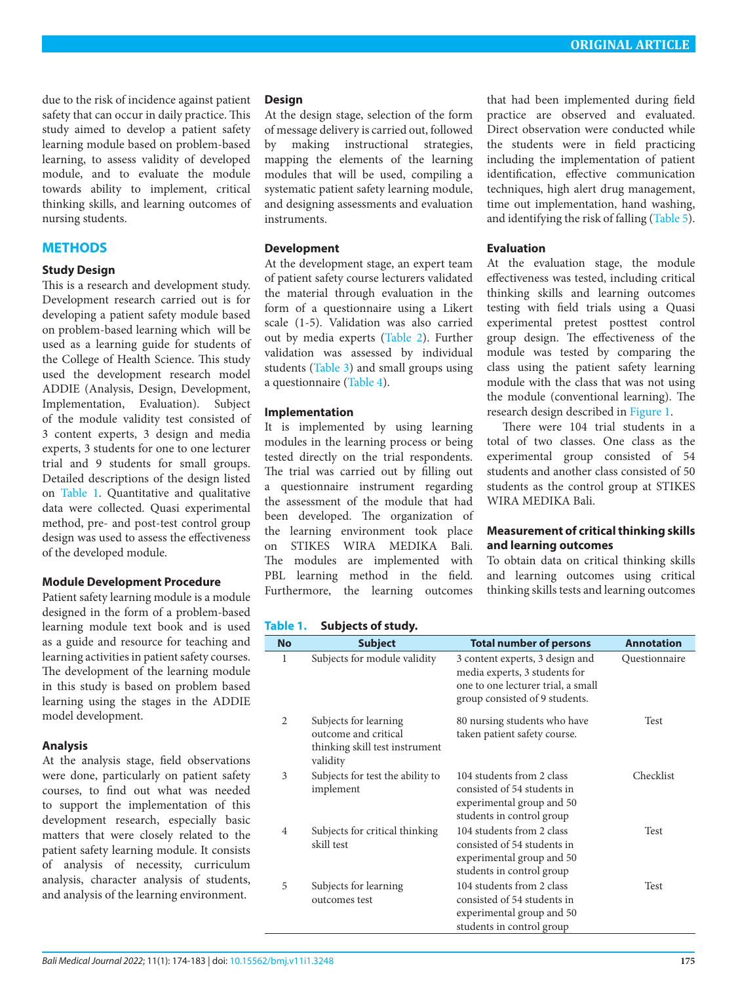due to the risk of incidence against patient safety that can occur in daily practice. This study aimed to develop a patient safety learning module based on problem-based learning, to assess validity of developed module, and to evaluate the module towards ability to implement, critical thinking skills, and learning outcomes of nursing students.

# **METHODS**

### **Study Design**

This is a research and development study. Development research carried out is for developing a patient safety module based on problem-based learning which will be used as a learning guide for students of the College of Health Science. This study used the development research model ADDIE (Analysis, Design, Development, Implementation, Evaluation). Subject of the module validity test consisted of 3 content experts, 3 design and media experts, 3 students for one to one lecturer trial and 9 students for small groups. Detailed descriptions of the design listed on [Table 1.](#page-1-0) Quantitative and qualitative data were collected. Quasi experimental method, pre- and post-test control group design was used to assess the effectiveness of the developed module.

#### **Module Development Procedure**

Patient safety learning module is a module designed in the form of a problem-based learning module text book and is used as a guide and resource for teaching and learning activities in patient safety courses. The development of the learning module in this study is based on problem based learning using the stages in the ADDIE model development.

#### **Analysis**

At the analysis stage, field observations were done, particularly on patient safety courses, to find out what was needed to support the implementation of this development research, especially basic matters that were closely related to the patient safety learning module. It consists of analysis of necessity, curriculum analysis, character analysis of students, and analysis of the learning environment.

### **Design**

At the design stage, selection of the form of message delivery is carried out, followed by making instructional strategies, mapping the elements of the learning modules that will be used, compiling a systematic patient safety learning module, and designing assessments and evaluation instruments.

### **Development**

At the development stage, an expert team of patient safety course lecturers validated the material through evaluation in the form of a questionnaire using a Likert scale (1-5). Validation was also carried out by media experts ([Table 2](#page-2-0)). Further validation was assessed by individual students [\(Table 3\)](#page-2-1) and small groups using a questionnaire ([Table 4](#page-3-0)).

## **Implementation**

It is implemented by using learning modules in the learning process or being tested directly on the trial respondents. The trial was carried out by filling out a questionnaire instrument regarding the assessment of the module that had been developed. The organization of the learning environment took place on STIKES WIRA MEDIKA Bali. The modules are implemented with PBL learning method in the field. Furthermore, the learning outcomes

that had been implemented during field practice are observed and evaluated. Direct observation were conducted while the students were in field practicing including the implementation of patient identification, effective communication techniques, high alert drug management, time out implementation, hand washing, and identifying the risk of falling [\(Table 5\)](#page-3-1).

### **Evaluation**

At the evaluation stage, the module effectiveness was tested, including critical thinking skills and learning outcomes testing with field trials using a Quasi experimental pretest posttest control group design. The effectiveness of the module was tested by comparing the class using the patient safety learning module with the class that was not using the module (conventional learning). The research design described in [Figure 1](#page-3-2).

There were 104 trial students in a total of two classes. One class as the experimental group consisted of 54 students and another class consisted of 50 students as the control group at STIKES WIRA MEDIKA Bali.

## **Measurement of critical thinking skills and learning outcomes**

To obtain data on critical thinking skills and learning outcomes using critical thinking skills tests and learning outcomes

## <span id="page-1-0"></span>**Table 1. Subjects of study.**

| <b>No</b>      | <b>Subject</b>                                                                              | <b>Total number of persons</b>                                                                                                           | <b>Annotation</b> |
|----------------|---------------------------------------------------------------------------------------------|------------------------------------------------------------------------------------------------------------------------------------------|-------------------|
| 1              | Subjects for module validity                                                                | 3 content experts, 3 design and<br>media experts, 3 students for<br>one to one lecturer trial, a small<br>group consisted of 9 students. | Questionnaire     |
| $\overline{2}$ | Subjects for learning<br>outcome and critical<br>thinking skill test instrument<br>validity | 80 nursing students who have<br>taken patient safety course.                                                                             | Test              |
| 3              | Subjects for test the ability to<br>implement                                               | 104 students from 2 class<br>consisted of 54 students in<br>experimental group and 50<br>students in control group                       | Checklist         |
| 4              | Subjects for critical thinking<br>skill test                                                | 104 students from 2 class<br>consisted of 54 students in<br>experimental group and 50<br>students in control group                       | Test              |
| 5              | Subjects for learning<br>outcomes test                                                      | 104 students from 2 class<br>consisted of 54 students in<br>experimental group and 50<br>students in control group                       | Test              |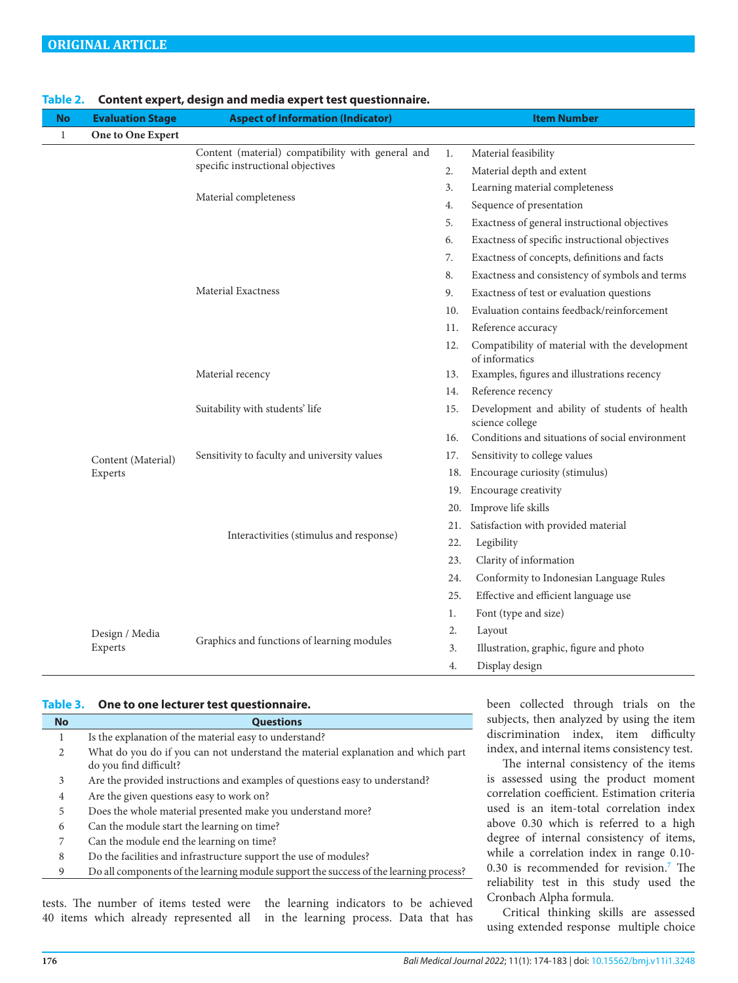| No           | <b>Evaluation Stage</b> | <b>Aspect of Information (Indicator)</b>          |     | <b>Item Number</b>                                               |
|--------------|-------------------------|---------------------------------------------------|-----|------------------------------------------------------------------|
| $\mathbf{1}$ | One to One Expert       |                                                   |     |                                                                  |
|              |                         | Content (material) compatibility with general and | 1.  | Material feasibility                                             |
|              |                         | specific instructional objectives                 | 2.  | Material depth and extent                                        |
|              |                         |                                                   | 3.  | Learning material completeness                                   |
|              |                         | Material completeness                             | 4.  | Sequence of presentation                                         |
|              |                         |                                                   | 5.  | Exactness of general instructional objectives                    |
|              |                         |                                                   | 6.  | Exactness of specific instructional objectives                   |
|              |                         |                                                   | 7.  | Exactness of concepts, definitions and facts                     |
|              |                         |                                                   | 8.  | Exactness and consistency of symbols and terms                   |
|              |                         | <b>Material Exactness</b>                         | 9.  | Exactness of test or evaluation questions                        |
|              |                         |                                                   | 10. | Evaluation contains feedback/reinforcement                       |
|              |                         |                                                   | 11. | Reference accuracy                                               |
|              |                         |                                                   |     | Compatibility of material with the development<br>of informatics |
|              |                         | Material recency                                  | 13. | Examples, figures and illustrations recency                      |
|              |                         |                                                   | 14. | Reference recency                                                |
|              |                         | Suitability with students' life                   | 15. | Development and ability of students of health<br>science college |
|              |                         |                                                   | 16. | Conditions and situations of social environment                  |
|              | Content (Material)      | Sensitivity to faculty and university values      | 17. | Sensitivity to college values                                    |
|              | Experts                 |                                                   | 18. | Encourage curiosity (stimulus)                                   |
|              |                         |                                                   |     | 19. Encourage creativity                                         |
|              |                         |                                                   | 20. | Improve life skills                                              |
|              |                         |                                                   | 21. | Satisfaction with provided material                              |
|              |                         | Interactivities (stimulus and response)           | 22. | Legibility                                                       |
|              |                         |                                                   | 23. | Clarity of information                                           |
|              |                         |                                                   | 24. | Conformity to Indonesian Language Rules                          |
|              |                         |                                                   | 25. | Effective and efficient language use                             |
|              |                         |                                                   | 1.  | Font (type and size)                                             |
|              | Design / Media          |                                                   | 2.  | Layout                                                           |
|              | Experts                 | Graphics and functions of learning modules        |     | Illustration, graphic, figure and photo                          |
|              |                         |                                                   | 4.  | Display design                                                   |

#### <span id="page-2-0"></span>**Table 2. Content expert, design and media expert test questionnaire.**

#### <span id="page-2-1"></span>**Table 3. One to one lecturer test questionnaire.**

| <b>No</b>      | <b>Questions</b>                                                                                           |
|----------------|------------------------------------------------------------------------------------------------------------|
|                | Is the explanation of the material easy to understand?                                                     |
| 2              | What do you do if you can not understand the material explanation and which part<br>do you find difficult? |
| 3              | Are the provided instructions and examples of questions easy to understand?                                |
| $\overline{4}$ | Are the given questions easy to work on?                                                                   |
| 5              | Does the whole material presented make you understand more?                                                |
| 6              | Can the module start the learning on time?                                                                 |
| 7              | Can the module end the learning on time?                                                                   |
| 8              | Do the facilities and infrastructure support the use of modules?                                           |
| 9              | Do all components of the learning module support the success of the learning process?                      |
|                |                                                                                                            |

tests. The number of items tested were the learning indicators to be achieved 40 items which already represented all in the learning process. Data that has been collected through trials on the subjects, then analyzed by using the item discrimination index, item difficulty index, and internal items consistency test.

The internal consistency of the items is assessed using the product moment correlation coefficient. Estimation criteria used is an item-total correlation index above 0.30 which is referred to a high degree of internal consistency of items, while a correlation index in range 0.10- 0.30 is recommended for revision.**[7](#page-9-6)** The reliability test in this study used the Cronbach Alpha formula.

Critical thinking skills are assessed using extended response multiple choice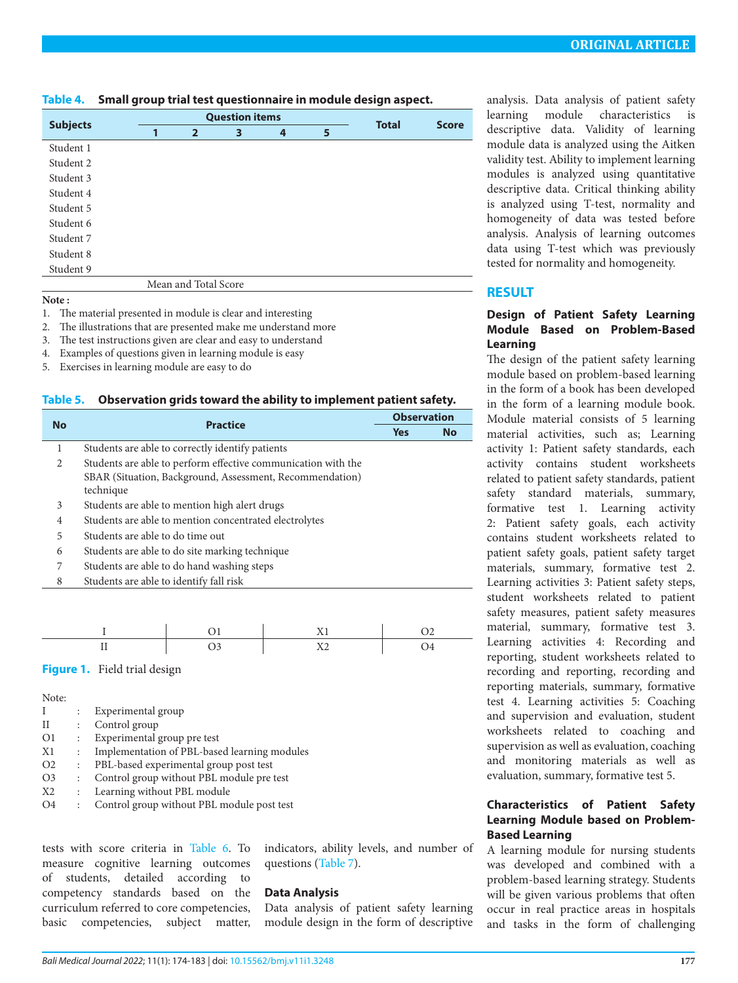<span id="page-3-0"></span>

| Table 4. | Small group trial test questionnaire in module design aspect. |  |
|----------|---------------------------------------------------------------|--|
|----------|---------------------------------------------------------------|--|

|                 |   | <b>Question items</b> | <b>Total</b> | <b>Score</b> |   |  |  |
|-----------------|---|-----------------------|--------------|--------------|---|--|--|
| <b>Subjects</b> | 1 | $\overline{2}$        | 3            | 4            | 5 |  |  |
| Student 1       |   |                       |              |              |   |  |  |
| Student 2       |   |                       |              |              |   |  |  |
| Student 3       |   |                       |              |              |   |  |  |
| Student 4       |   |                       |              |              |   |  |  |
| Student 5       |   |                       |              |              |   |  |  |
| Student 6       |   |                       |              |              |   |  |  |
| Student 7       |   |                       |              |              |   |  |  |
| Student 8       |   |                       |              |              |   |  |  |
| Student 9       |   |                       |              |              |   |  |  |
|                 |   | Mean and Total Score  |              |              |   |  |  |

**Note :**

1. The material presented in module is clear and interesting

2. The illustrations that are presented make me understand more

3. The test instructions given are clear and easy to understand

4. Examples of questions given in learning module is easy

5. Exercises in learning module are easy to do

<span id="page-3-1"></span>

| Table 5. | Observation grids toward the ability to implement patient safety. |  |
|----------|-------------------------------------------------------------------|--|
|          |                                                                   |  |

|           | <b>Practice</b>                                               |            | <b>Observation</b> |  |
|-----------|---------------------------------------------------------------|------------|--------------------|--|
| <b>No</b> |                                                               | <b>Yes</b> | <b>No</b>          |  |
| 1         | Students are able to correctly identify patients              |            |                    |  |
| 2         | Students are able to perform effective communication with the |            |                    |  |
|           | SBAR (Situation, Background, Assessment, Recommendation)      |            |                    |  |
|           | technique                                                     |            |                    |  |
| 3         | Students are able to mention high alert drugs                 |            |                    |  |
| 4         | Students are able to mention concentrated electrolytes        |            |                    |  |
| 5         | Students are able to do time out                              |            |                    |  |
| 6         | Students are able to do site marking technique                |            |                    |  |
| 7         | Students are able to do hand washing steps                    |            |                    |  |
| 8         | Students are able to identify fall risk                       |            |                    |  |
|           |                                                               |            |                    |  |

<span id="page-3-2"></span>**Figure 1.** Field trial design

Note:

|                | $\ddot{\phantom{a}}$ | Experimental group                           |
|----------------|----------------------|----------------------------------------------|
| П              | $\ddot{\cdot}$       | Control group                                |
| O1             | $\ddot{\phantom{a}}$ | Experimental group pre test                  |
| X1             | $\ddot{\phantom{a}}$ | Implementation of PBL-based learning modules |
| O <sub>2</sub> | $\ddot{\phantom{a}}$ | PBL-based experimental group post test       |
| O <sub>3</sub> | $\ddot{\cdot}$       | Control group without PBL module pre test    |
| X <sub>2</sub> | $\ddot{\phantom{a}}$ | Learning without PBL module                  |
| O4             | $\ddot{\cdot}$       | Control group without PBL module post test   |

tests with score criteria in [Table 6](#page-4-0). To measure cognitive learning outcomes of students, detailed according to competency standards based on the curriculum referred to core competencies, basic competencies, subject matter, indicators, ability levels, and number of questions [\(Table 7\)](#page-4-1).

## **Data Analysis**

Data analysis of patient safety learning module design in the form of descriptive analysis. Data analysis of patient safety learning module characteristics is descriptive data. Validity of learning module data is analyzed using the Aitken validity test. Ability to implement learning modules is analyzed using quantitative descriptive data. Critical thinking ability is analyzed using T-test, normality and homogeneity of data was tested before analysis. Analysis of learning outcomes data using T-test which was previously tested for normality and homogeneity.

# **RESULT**

## **Design of Patient Safety Learning Module Based on Problem-Based Learning**

The design of the patient safety learning module based on problem-based learning in the form of a book has been developed in the form of a learning module book. Module material consists of 5 learning material activities, such as; Learning activity 1: Patient safety standards, each activity contains student worksheets related to patient safety standards, patient safety standard materials, summary, formative test 1. Learning activity 2: Patient safety goals, each activity contains student worksheets related to patient safety goals, patient safety target materials, summary, formative test 2. Learning activities 3: Patient safety steps, student worksheets related to patient safety measures, patient safety measures material, summary, formative test 3. Learning activities 4: Recording and reporting, student worksheets related to recording and reporting, recording and reporting materials, summary, formative test 4. Learning activities 5: Coaching and supervision and evaluation, student worksheets related to coaching and supervision as well as evaluation, coaching and monitoring materials as well as evaluation, summary, formative test 5.

## **Characteristics of Patient Safety Learning Module based on Problem-Based Learning**

A learning module for nursing students was developed and combined with a problem-based learning strategy. Students will be given various problems that often occur in real practice areas in hospitals and tasks in the form of challenging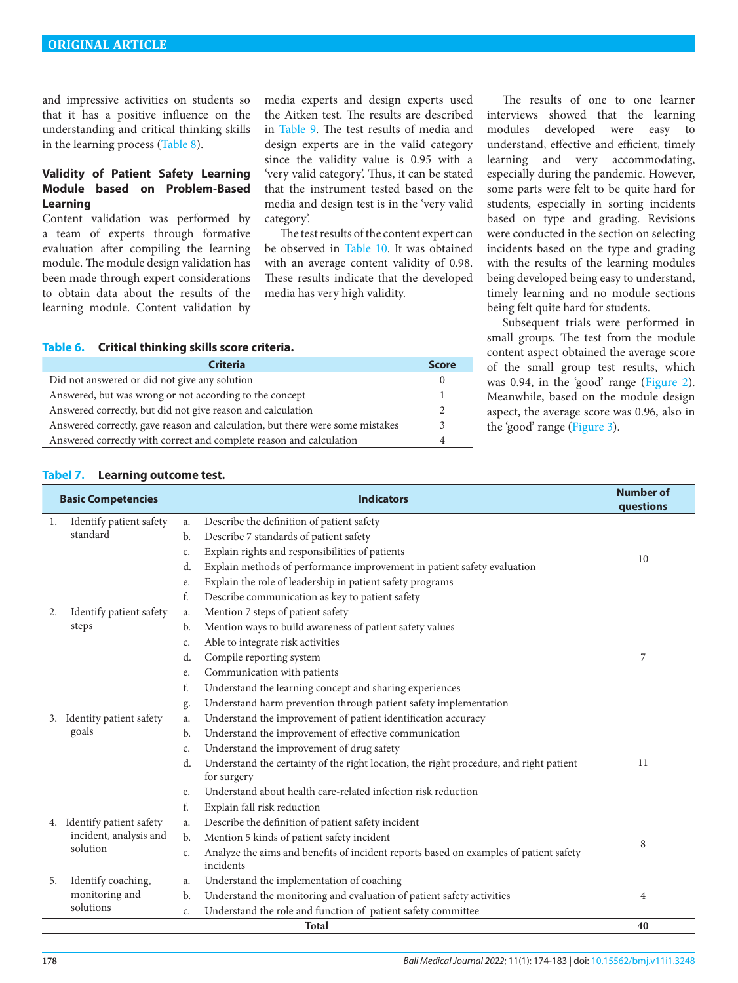and impressive activities on students so that it has a positive influence on the understanding and critical thinking skills in the learning process [\(Table 8\)](#page-5-0).

## **Validity of Patient Safety Learning Module based on Problem-Based Learning**

Content validation was performed by a team of experts through formative evaluation after compiling the learning module. The module design validation has been made through expert considerations to obtain data about the results of the learning module. Content validation by

media experts and design experts used the Aitken test. The results are described in [Table 9](#page-5-1). The test results of media and design experts are in the valid category since the validity value is 0.95 with a 'very valid category'. Thus, it can be stated that the instrument tested based on the media and design test is in the 'very valid category'.

The test results of the content expert can be observed in [Table 10.](#page-6-0) It was obtained with an average content validity of 0.98. These results indicate that the developed media has very high validity.

<span id="page-4-0"></span>**Table 6. Critical thinking skills score criteria.**

| <b>Criteria</b>                                                               | <b>Score</b> |
|-------------------------------------------------------------------------------|--------------|
| Did not answered or did not give any solution                                 |              |
| Answered, but was wrong or not according to the concept                       |              |
| Answered correctly, but did not give reason and calculation                   |              |
| Answered correctly, gave reason and calculation, but there were some mistakes | 3            |
| Answered correctly with correct and complete reason and calculation           |              |

The results of one to one learner interviews showed that the learning modules developed were easy to understand, effective and efficient, timely learning and very accommodating, especially during the pandemic. However, some parts were felt to be quite hard for students, especially in sorting incidents based on type and grading. Revisions were conducted in the section on selecting incidents based on the type and grading with the results of the learning modules being developed being easy to understand, timely learning and no module sections being felt quite hard for students.

Subsequent trials were performed in small groups. The test from the module content aspect obtained the average score of the small group test results, which was 0.94, in the 'good' range ([Figure 2\)](#page-6-1). Meanwhile, based on the module design aspect, the average score was 0.96, also in the 'good' range ([Figure 3\)](#page-7-0).

#### <span id="page-4-1"></span>**Tabel 7. Learning outcome test.**

| <b>Basic Competencies</b> |                            |                | <b>Indicators</b>                                                                                  | <b>Number of</b><br>questions |
|---------------------------|----------------------------|----------------|----------------------------------------------------------------------------------------------------|-------------------------------|
| 1.                        | Identify patient safety    | a.             | Describe the definition of patient safety                                                          |                               |
|                           | standard                   | b.             | Describe 7 standards of patient safety                                                             |                               |
|                           |                            | c.             | Explain rights and responsibilities of patients                                                    |                               |
|                           |                            | d.             | Explain methods of performance improvement in patient safety evaluation                            | 10                            |
|                           |                            | e.             | Explain the role of leadership in patient safety programs                                          |                               |
|                           |                            | f.             | Describe communication as key to patient safety                                                    |                               |
| 2.                        | Identify patient safety    | a.             | Mention 7 steps of patient safety                                                                  |                               |
|                           | steps                      | b.             | Mention ways to build awareness of patient safety values                                           |                               |
|                           |                            | c.             | Able to integrate risk activities                                                                  |                               |
|                           |                            | d.             | Compile reporting system                                                                           | 7                             |
|                           |                            | e.             | Communication with patients                                                                        |                               |
|                           |                            | f.             | Understand the learning concept and sharing experiences                                            |                               |
|                           |                            | g.             | Understand harm prevention through patient safety implementation                                   |                               |
|                           | 3. Identify patient safety | a.             | Understand the improvement of patient identification accuracy                                      |                               |
|                           | goals                      | b.             | Understand the improvement of effective communication                                              |                               |
|                           |                            | c.             | Understand the improvement of drug safety                                                          |                               |
|                           |                            | d.             | Understand the certainty of the right location, the right procedure, and right patient             | 11                            |
|                           |                            |                | for surgery                                                                                        |                               |
|                           |                            | e.             | Understand about health care-related infection risk reduction                                      |                               |
|                           |                            | f.             | Explain fall risk reduction                                                                        |                               |
|                           | 4. Identify patient safety | a.             | Describe the definition of patient safety incident                                                 |                               |
|                           | incident, analysis and     | b.             | Mention 5 kinds of patient safety incident                                                         | 8                             |
|                           | solution                   | c.             | Analyze the aims and benefits of incident reports based on examples of patient safety<br>incidents |                               |
| 5.                        | Identify coaching,         | a.             | Understand the implementation of coaching                                                          |                               |
|                           | monitoring and             | $\mathbf{b}$ . | Understand the monitoring and evaluation of patient safety activities                              | 4                             |
|                           | solutions                  | c.             | Understand the role and function of patient safety committee                                       |                               |
|                           |                            |                | <b>Total</b>                                                                                       | 40                            |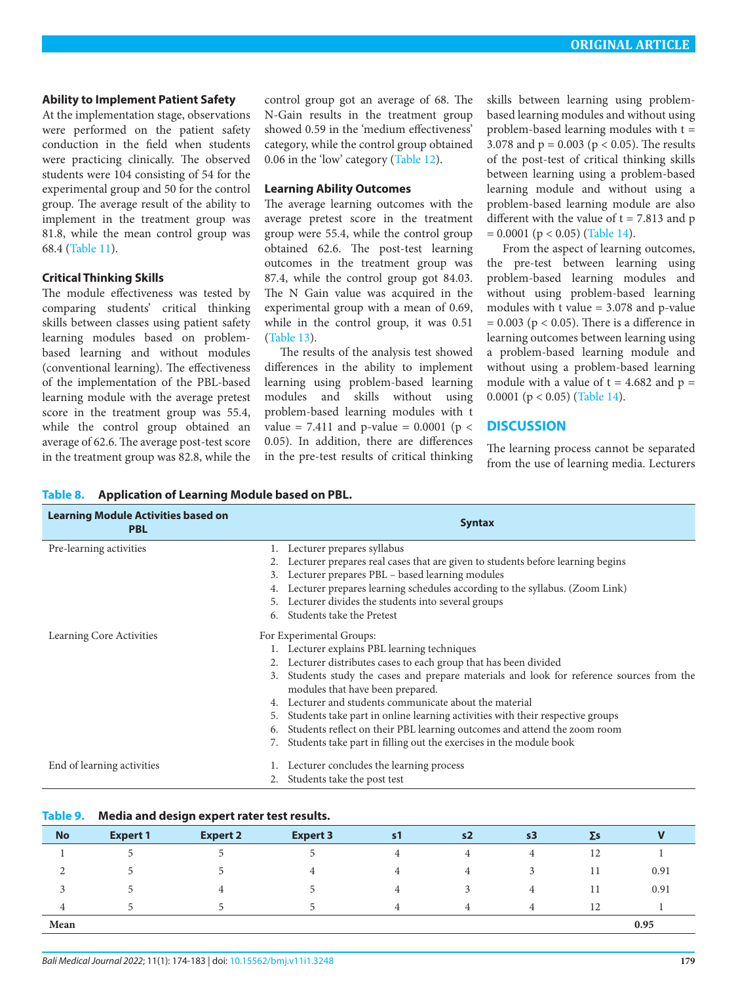#### **Ability to Implement Patient Safety**

At the implementation stage, observations were performed on the patient safety conduction in the field when students were practicing clinically. The observed students were 104 consisting of 54 for the experimental group and 50 for the control group. The average result of the ability to implement in the treatment group was 81.8, while the mean control group was 68.4 [\(Table 11\)](#page-7-1).

#### **Critical Thinking Skills**

The module effectiveness was tested by comparing students' critical thinking skills between classes using patient safety learning modules based on problembased learning and without modules (conventional learning). The effectiveness of the implementation of the PBL-based learning module with the average pretest score in the treatment group was 55.4, while the control group obtained an average of 62.6. The average post-test score in the treatment group was 82.8, while the

<span id="page-5-0"></span>**Table 8. Application of Learning Module based on PBL.**

control group got an average of 68. The N-Gain results in the treatment group showed 0.59 in the 'medium effectiveness' category, while the control group obtained 0.06 in the 'low' category ([Table 12\)](#page-7-2).

#### **Learning Ability Outcomes**

The average learning outcomes with the average pretest score in the treatment group were 55.4, while the control group obtained 62.6. The post-test learning outcomes in the treatment group was 87.4, while the control group got 84.03. The N Gain value was acquired in the experimental group with a mean of 0.69, while in the control group, it was 0.51 [\(Table 13](#page-7-3)).

The results of the analysis test showed differences in the ability to implement learning using problem-based learning modules and skills without using problem-based learning modules with t value = 7.411 and p-value =  $0.0001$  (p < 0.05). In addition, there are differences in the pre-test results of critical thinking

skills between learning using problembased learning modules and without using problem-based learning modules with t = 3.078 and  $p = 0.003$  ( $p < 0.05$ ). The results of the post-test of critical thinking skills between learning using a problem-based learning module and without using a problem-based learning module are also different with the value of  $t = 7.813$  and p  $= 0.0001$  ( $p < 0.05$ ) [\(Table 14\)](#page-8-0).

From the aspect of learning outcomes, the pre-test between learning using problem-based learning modules and without using problem-based learning modules with t value = 3.078 and p-value  $= 0.003$  ( $p < 0.05$ ). There is a difference in learning outcomes between learning using a problem-based learning module and without using a problem-based learning module with a value of  $t = 4.682$  and  $p =$ 0.0001 ( $p < 0.05$ ) [\(Table 14](#page-8-0)).

## **DISCUSSION**

The learning process cannot be separated from the use of learning media. Lecturers

| <b>Learning Module Activities based on</b><br><b>PBL</b> | <b>Syntax</b>                                                                             |
|----------------------------------------------------------|-------------------------------------------------------------------------------------------|
| Pre-learning activities                                  | 1. Lecturer prepares syllabus                                                             |
|                                                          | Lecturer prepares real cases that are given to students before learning begins            |
|                                                          | Lecturer prepares PBL – based learning modules<br>3.                                      |
|                                                          | Lecturer prepares learning schedules according to the syllabus. (Zoom Link)               |
|                                                          | Lecturer divides the students into several groups<br>5.                                   |
|                                                          | Students take the Pretest<br>6.                                                           |
| Learning Core Activities                                 | For Experimental Groups:                                                                  |
|                                                          | 1. Lecturer explains PBL learning techniques                                              |
|                                                          | Lecturer distributes cases to each group that has been divided                            |
|                                                          | 3. Students study the cases and prepare materials and look for reference sources from the |
|                                                          | modules that have been prepared.                                                          |
|                                                          | Lecturer and students communicate about the material                                      |
|                                                          | Students take part in online learning activities with their respective groups<br>5.       |
|                                                          | Students reflect on their PBL learning outcomes and attend the zoom room<br>6.            |
|                                                          | Students take part in filling out the exercises in the module book                        |
| End of learning activities                               | Lecturer concludes the learning process                                                   |
|                                                          | Students take the post test                                                               |

### <span id="page-5-1"></span>**Table 9. Media and design expert rater test results.**

| <b>No</b> | <b>Expert 1</b> | <b>Expert 2</b> | <b>Expert 3</b> | $\mathsf{s}$ 1 | s <sub>2</sub> | s3 | $\Sigma$ s |      |
|-----------|-----------------|-----------------|-----------------|----------------|----------------|----|------------|------|
|           |                 |                 |                 |                |                | 4  | 12         |      |
| ▵         |                 |                 | 4               | 4              | 4              |    | 11         | 0.91 |
|           |                 | 4               |                 | 4              |                | 4  | 11         | 0.91 |
| 4         |                 |                 | 'n.             | $\overline{4}$ | 4              | 4  | 12         |      |
| Mean      |                 |                 |                 |                |                |    |            | 0.95 |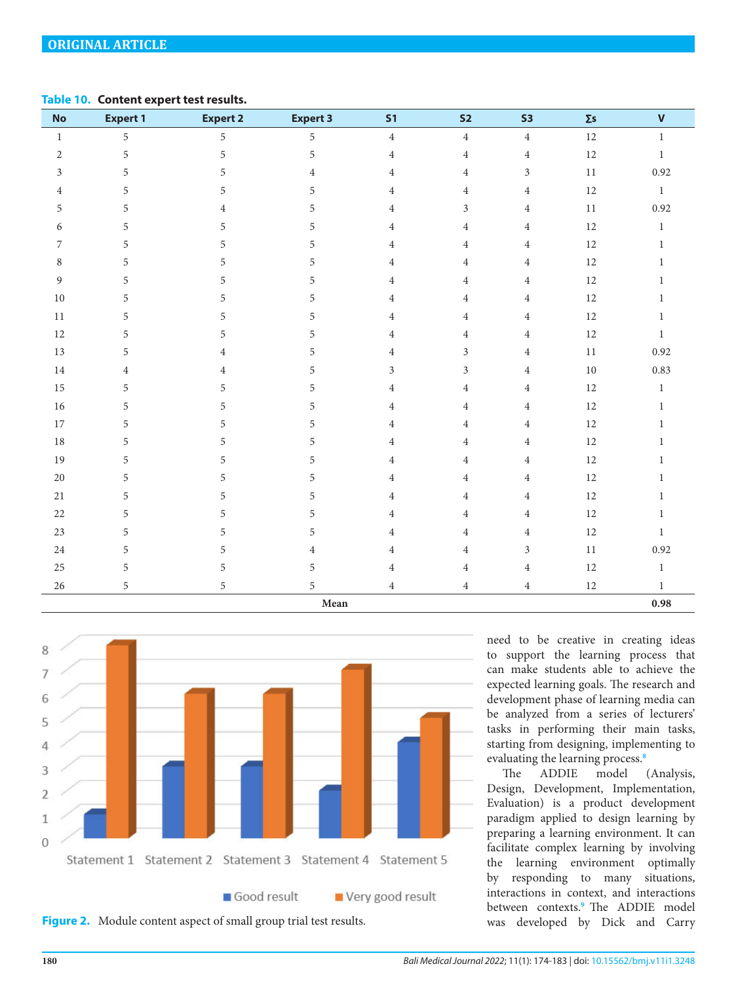### <span id="page-6-0"></span>**Table 10. Content expert test results.**

| No             | <b>Expert 1</b> | <b>Expert 2</b> | <b>Expert 3</b> | S <sub>1</sub> | S <sub>2</sub>      | S <sub>3</sub> | $\Sigma$ s | $\mathbf{V}$ |
|----------------|-----------------|-----------------|-----------------|----------------|---------------------|----------------|------------|--------------|
| $\mathbf{1}$   | 5               | 5               | 5               | $\overline{4}$ | $\overline{4}$      | $\overline{4}$ | $12\,$     | $\mathbf{1}$ |
| $\overline{2}$ | $\overline{5}$  | 5               | 5               | $\overline{4}$ | $\overline{4}$      | $\overline{4}$ | $12\,$     | $\mathbf{1}$ |
| $\mathfrak{Z}$ | $\overline{5}$  | 5               | $\overline{4}$  | $\overline{4}$ | $\overline{4}$      | $\mathfrak{Z}$ | $11\,$     | 0.92         |
| $\overline{4}$ | $\overline{5}$  | 5               | 5               | $\overline{4}$ | $\overline{4}$      | $\overline{4}$ | 12         | $\mathbf{1}$ |
| 5              | 5               | 4               | 5               | $\overline{4}$ | 3                   | $\overline{4}$ | 11         | 0.92         |
| 6              | $\overline{5}$  | 5               | 5               | $\overline{4}$ | $\overline{4}$      | $\overline{4}$ | $12\,$     | $\,1$        |
| 7              | $\overline{5}$  | 5               | 5               | $\overline{4}$ | $\overline{4}$      | $\overline{4}$ | $12\,$     | $\mathbf{1}$ |
| 8              | $\sqrt{5}$      | 5               | 5               | $\overline{4}$ | $\overline{4}$      | $\overline{4}$ | 12         | $\mathbf{1}$ |
| $\overline{9}$ | 5               | 5               | 5               | $\overline{4}$ | $\overline{4}$      | $\overline{4}$ | $12\,$     | $\mathbf{1}$ |
| $10\,$         | 5               | 5               | 5               | $\overline{4}$ | $\overline{4}$      | $\overline{4}$ | $12\,$     | $\mathbf{1}$ |
| $11\,$         | 5               | 5               | 5               | $\overline{4}$ | $\overline{4}$      | $\overline{4}$ | $12\,$     | $\mathbf{1}$ |
| 12             | 5               | 5               | 5               | $\overline{4}$ | 4                   | $\overline{4}$ | $12\,$     | $\mathbf{1}$ |
| 13             | 5               | $\overline{4}$  | 5               | $\overline{4}$ | 3                   | $\overline{4}$ | 11         | 0.92         |
| $14\,$         | $\overline{4}$  | 4               | 5               | $\mathfrak{Z}$ | $\mathfrak{Z}$      | $\overline{4}$ | $10\,$     | 0.83         |
| 15             | 5               | 5               | 5               | $\overline{4}$ | $\overline{4}$      | $\overline{4}$ | 12         | $\mathbf{1}$ |
| 16             | $\mathbf 5$     | 5               | 5               | $\overline{4}$ | $\overline{4}$      | $\overline{4}$ | $12\,$     | $\mathbf{1}$ |
| $17\,$         | 5               | 5               | 5               | $\overline{4}$ | $\overline{4}$      | $\overline{4}$ | $12\,$     | $\mathbf{1}$ |
| 18             | $\mathbf 5$     | 5               | 5               | $\overline{4}$ | 4                   | $\overline{4}$ | 12         | $\mathbf{1}$ |
| 19             | $\sqrt{5}$      | 5               | 5               | $\overline{4}$ | $\overline{4}$      | $\overline{4}$ | 12         | $\mathbf{1}$ |
| $20\,$         | 5               | 5               | 5               | $\overline{4}$ | 4                   | $\overline{4}$ | $12\,$     | $\mathbf{1}$ |
| 21             | $\mathbf 5$     | 5               | 5               | $\overline{4}$ | $\overline{4}$      | $\overline{4}$ | 12         | $\mathbf{1}$ |
| $22\,$         | $\overline{5}$  | 5               | 5               | $\overline{4}$ | $\overline{4}$      | $\overline{4}$ | $12\,$     | $\mathbf{1}$ |
| $23\,$         | $\sqrt{5}$      | 5               | 5               | $\overline{4}$ | $\overline{4}$      | $\overline{4}$ | 12         | $\mathbf{1}$ |
| $24\,$         | 5               | 5               | 4               | $\overline{4}$ | $\overline{4}$      | $\mathfrak{Z}$ | $11\,$     | 0.92         |
| 25             | $\overline{5}$  | 5               | 5               | $\,4$          | $\overline{4}$      | $\overline{4}$ | $12\,$     | $1\,$        |
| 26             | 5               | 5               | 5               | $\overline{4}$ | $\overline{4}$      | $\overline{4}$ | 12         | $\mathbf{1}$ |
| ${\bf Mean}$   |                 |                 |                 |                | $\boldsymbol{0.98}$ |                |            |              |



<span id="page-6-1"></span>

need to be creative in creating ideas to support the learning process that can make students able to achieve the expected learning goals. The research and development phase of learning media can be analyzed from a series of lecturers' tasks in performing their main tasks, starting from designing, implementing to evaluating the learning process.**[8](#page-9-7)**

The ADDIE model (Analysis, Design, Development, Implementation, Evaluation) is a product development paradigm applied to design learning by preparing a learning environment. It can facilitate complex learning by involving the learning environment optimally by responding to many situations, interactions in context, and interactions between contexts.**[9](#page-9-8)** The ADDIE model was developed by Dick and Carry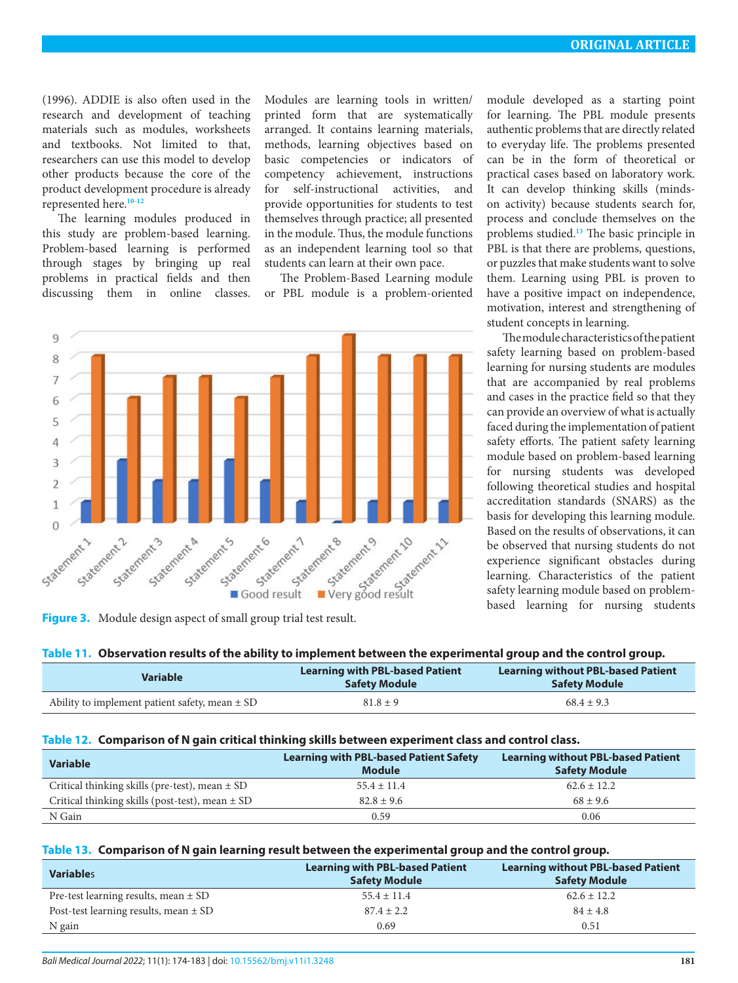(1996). ADDIE is also often used in the research and development of teaching materials such as modules, worksheets and textbooks. Not limited to that, researchers can use this model to develop other products because the core of the product development procedure is already represented here.**[10](#page-9-9)[-12](#page-9-10)**

The learning modules produced in this study are problem-based learning. Problem-based learning is performed through stages by bringing up real problems in practical fields and then discussing them in online classes. Modules are learning tools in written/ printed form that are systematically arranged. It contains learning materials, methods, learning objectives based on basic competencies or indicators of competency achievement, instructions for self-instructional activities, and provide opportunities for students to test themselves through practice; all presented in the module. Thus, the module functions as an independent learning tool so that students can learn at their own pace.

The Problem-Based Learning module or PBL module is a problem-oriented



<span id="page-7-0"></span>**Figure 3.** Module design aspect of small group trial test result.

module developed as a starting point for learning. The PBL module presents authentic problems that are directly related to everyday life. The problems presented can be in the form of theoretical or practical cases based on laboratory work. It can develop thinking skills (mindson activity) because students search for, process and conclude themselves on the problems studied.**[13](#page-9-11)** The basic principle in PBL is that there are problems, questions, or puzzles that make students want to solve them. Learning using PBL is proven to have a positive impact on independence, motivation, interest and strengthening of student concepts in learning.

The module characteristics of the patient safety learning based on problem-based learning for nursing students are modules that are accompanied by real problems and cases in the practice field so that they can provide an overview of what is actually faced during the implementation of patient safety efforts. The patient safety learning module based on problem-based learning for nursing students was developed following theoretical studies and hospital accreditation standards (SNARS) as the basis for developing this learning module. Based on the results of observations, it can be observed that nursing students do not experience significant obstacles during learning. Characteristics of the patient safety learning module based on problembased learning for nursing students

#### <span id="page-7-1"></span>**Table 11. Observation results of the ability to implement between the experimental group and the control group.**

|                                                    | <b>Learning with PBL-based Patient</b> | <b>Learning without PBL-based Patient</b> |  |  |
|----------------------------------------------------|----------------------------------------|-------------------------------------------|--|--|
| <b>Variable</b>                                    | <b>Safety Module</b>                   | <b>Safety Module</b>                      |  |  |
| Ability to implement patient safety, mean $\pm$ SD | $81.8 \pm 9$                           | $68.4 \pm 9.3$                            |  |  |

### <span id="page-7-2"></span>**Table 12. Comparison of N gain critical thinking skills between experiment class and control class.**

| <b>Variable</b>                                     | <b>Learning with PBL-based Patient Safety</b><br><b>Module</b> | <b>Learning without PBL-based Patient</b><br><b>Safety Module</b> |  |
|-----------------------------------------------------|----------------------------------------------------------------|-------------------------------------------------------------------|--|
| Critical thinking skills (pre-test), mean $\pm$ SD  | $55.4 \pm 11.4$                                                | $62.6 \pm 12.2$                                                   |  |
| Critical thinking skills (post-test), mean $\pm$ SD | $82.8 \pm 9.6$                                                 | $68 \pm 9.6$                                                      |  |
| N Gain                                              | 0.59                                                           | 0.06                                                              |  |

## <span id="page-7-3"></span>**Table 13. Comparison of N gain learning result between the experimental group and the control group.**

| <b>Variables</b>                          | <b>Learning with PBL-based Patient</b><br><b>Safety Module</b> | <b>Learning without PBL-based Patient</b><br><b>Safety Module</b> |  |
|-------------------------------------------|----------------------------------------------------------------|-------------------------------------------------------------------|--|
| Pre-test learning results, mean $\pm$ SD  | $55.4 \pm 11.4$                                                | $62.6 \pm 12.2$                                                   |  |
| Post-test learning results, mean $\pm$ SD | $87.4 \pm 2.2$                                                 | $84 \pm 4.8$                                                      |  |
| N gain                                    | 0.69                                                           | 0.51                                                              |  |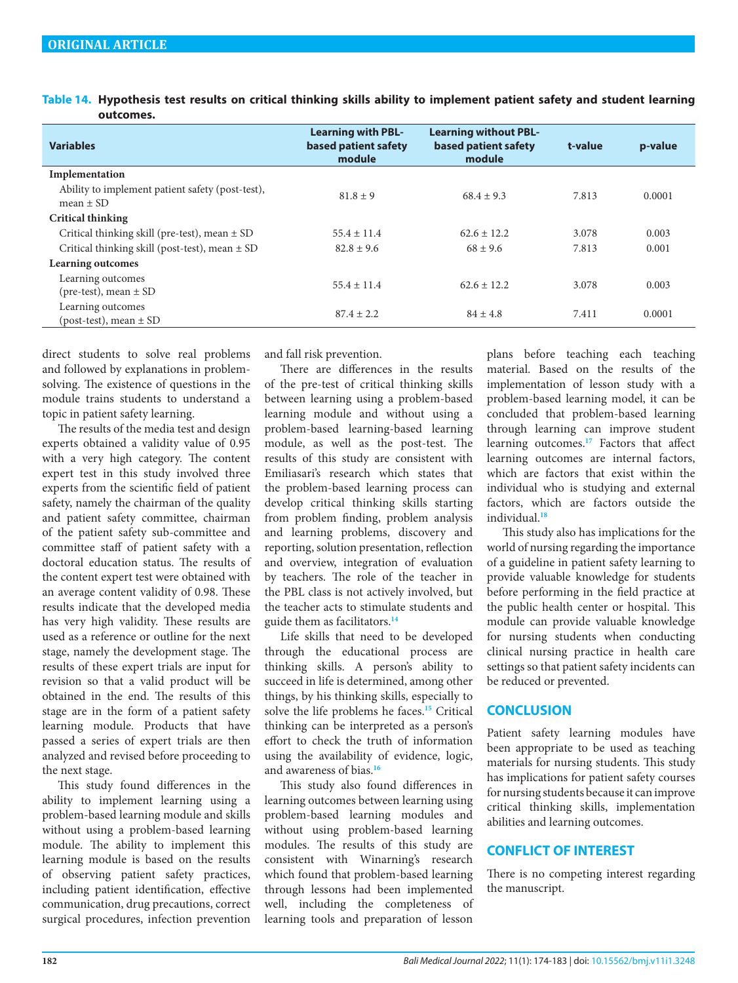<span id="page-8-0"></span>**Table 14. Hypothesis test results on critical thinking skills ability to implement patient safety and student learning outcomes.**

| <b>Variables</b>                                                  | <b>Learning with PBL-</b><br>based patient safety<br>module | <b>Learning without PBL-</b><br>based patient safety<br>module | t-value | p-value |
|-------------------------------------------------------------------|-------------------------------------------------------------|----------------------------------------------------------------|---------|---------|
| Implementation                                                    |                                                             |                                                                |         |         |
| Ability to implement patient safety (post-test),<br>mean $\pm$ SD | $81.8 \pm 9$                                                | $68.4 \pm 9.3$                                                 | 7.813   | 0.0001  |
| <b>Critical thinking</b>                                          |                                                             |                                                                |         |         |
| Critical thinking skill (pre-test), mean $\pm$ SD                 | $55.4 \pm 11.4$                                             | $62.6 \pm 12.2$                                                | 3.078   | 0.003   |
| Critical thinking skill (post-test), mean $\pm$ SD                | $82.8 \pm 9.6$                                              | $68 \pm 9.6$                                                   | 7.813   | 0.001   |
| <b>Learning outcomes</b>                                          |                                                             |                                                                |         |         |
| Learning outcomes<br>(pre-test), mean $\pm$ SD                    | $55.4 \pm 11.4$                                             | $62.6 \pm 12.2$                                                | 3.078   | 0.003   |
| Learning outcomes<br>$-post-test$ , mean $\pm$ SD                 | $87.4 \pm 2.2$                                              | $84 \pm 4.8$                                                   | 7.411   | 0.0001  |

direct students to solve real problems and followed by explanations in problemsolving. The existence of questions in the module trains students to understand a topic in patient safety learning.

The results of the media test and design experts obtained a validity value of 0.95 with a very high category. The content expert test in this study involved three experts from the scientific field of patient safety, namely the chairman of the quality and patient safety committee, chairman of the patient safety sub-committee and committee staff of patient safety with a doctoral education status. The results of the content expert test were obtained with an average content validity of 0.98. These results indicate that the developed media has very high validity. These results are used as a reference or outline for the next stage, namely the development stage. The results of these expert trials are input for revision so that a valid product will be obtained in the end. The results of this stage are in the form of a patient safety learning module. Products that have passed a series of expert trials are then analyzed and revised before proceeding to the next stage.

This study found differences in the ability to implement learning using a problem-based learning module and skills without using a problem-based learning module. The ability to implement this learning module is based on the results of observing patient safety practices, including patient identification, effective communication, drug precautions, correct surgical procedures, infection prevention

and fall risk prevention.

There are differences in the results of the pre-test of critical thinking skills between learning using a problem-based learning module and without using a problem-based learning-based learning module, as well as the post-test. The results of this study are consistent with Emiliasari's research which states that the problem-based learning process can develop critical thinking skills starting from problem finding, problem analysis and learning problems, discovery and reporting, solution presentation, reflection and overview, integration of evaluation by teachers. The role of the teacher in the PBL class is not actively involved, but the teacher acts to stimulate students and guide them as facilitators.**[14](#page-9-12)**

Life skills that need to be developed through the educational process are thinking skills. A person's ability to succeed in life is determined, among other things, by his thinking skills, especially to solve the life problems he faces.**[15](#page-9-13)** Critical thinking can be interpreted as a person's effort to check the truth of information using the availability of evidence, logic, and awareness of bias.**[16](#page-9-14)**

This study also found differences in learning outcomes between learning using problem-based learning modules and without using problem-based learning modules. The results of this study are consistent with Winarning's research which found that problem-based learning through lessons had been implemented well, including the completeness of learning tools and preparation of lesson

plans before teaching each teaching material. Based on the results of the implementation of lesson study with a problem-based learning model, it can be concluded that problem-based learning through learning can improve student learning outcomes.**[17](#page-9-15)** Factors that affect learning outcomes are internal factors, which are factors that exist within the individual who is studying and external factors, which are factors outside the individual.**[18](#page-9-16)**

This study also has implications for the world of nursing regarding the importance of a guideline in patient safety learning to provide valuable knowledge for students before performing in the field practice at the public health center or hospital. This module can provide valuable knowledge for nursing students when conducting clinical nursing practice in health care settings so that patient safety incidents can be reduced or prevented.

# **CONCLUSION**

Patient safety learning modules have been appropriate to be used as teaching materials for nursing students. This study has implications for patient safety courses for nursing students because it can improve critical thinking skills, implementation abilities and learning outcomes.

# **CONFLICT OF INTEREST**

There is no competing interest regarding the manuscript.